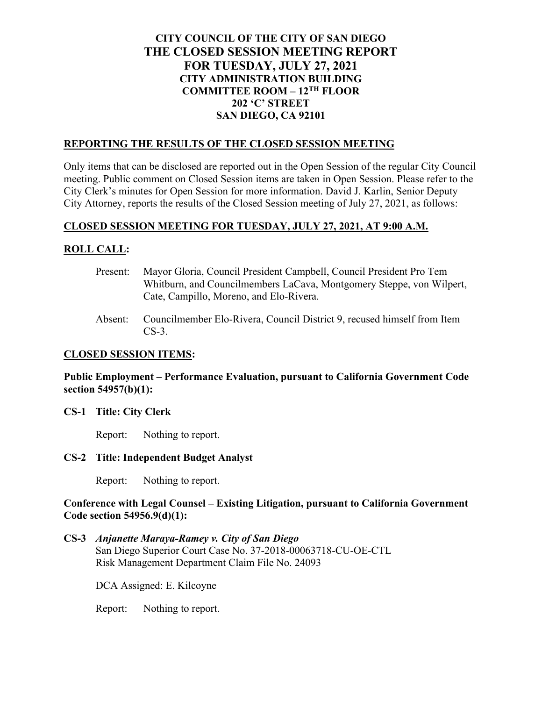# **CITY COUNCIL OF THE CITY OF SAN DIEGO THE CLOSED SESSION MEETING REPORT FOR TUESDAY, JULY 27, 2021 CITY ADMINISTRATION BUILDING COMMITTEE ROOM – 12TH FLOOR 202 'C' STREET SAN DIEGO, CA 92101**

### **REPORTING THE RESULTS OF THE CLOSED SESSION MEETING**

Only items that can be disclosed are reported out in the Open Session of the regular City Council meeting. Public comment on Closed Session items are taken in Open Session. Please refer to the City Clerk's minutes for Open Session for more information. David J. Karlin, Senior Deputy City Attorney, reports the results of the Closed Session meeting of July 27, 2021, as follows:

### **CLOSED SESSION MEETING FOR TUESDAY, JULY 27, 2021, AT 9:00 A.M.**

## **ROLL CALL:**

- Present: Mayor Gloria, Council President Campbell, Council President Pro Tem Whitburn, and Councilmembers LaCava, Montgomery Steppe, von Wilpert, Cate, Campillo, Moreno, and Elo-Rivera.
- Absent: Councilmember Elo-Rivera, Council District 9, recused himself from Item CS-3.

#### **CLOSED SESSION ITEMS:**

### **Public Employment – Performance Evaluation, pursuant to California Government Code section 54957(b)(1):**

### **CS-1 Title: City Clerk**

Report: Nothing to report.

#### **CS-2 Title: Independent Budget Analyst**

Report: Nothing to report.

### **Conference with Legal Counsel – Existing Litigation, pursuant to California Government Code section 54956.9(d)(1):**

## **CS-3** *Anjanette Maraya-Ramey v. City of San Diego* San Diego Superior Court Case No. 37-2018-00063718-CU-OE-CTL Risk Management Department Claim File No. 24093

DCA Assigned: E. Kilcoyne

Report: Nothing to report.